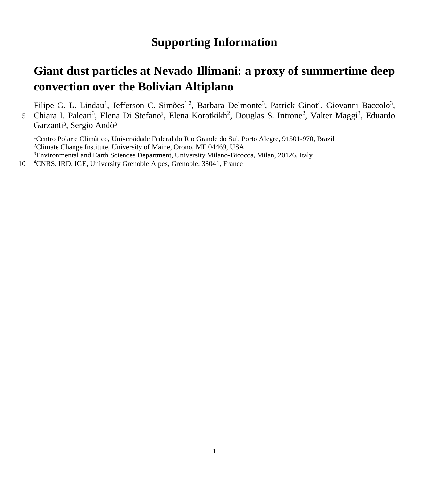## **Supporting Information**

## **Giant dust particles at Nevado Illimani: a proxy of summertime deep convection over the Bolivian Altiplano**

Filipe G. L. Lindau<sup>1</sup>, Jefferson C. Simões<sup>1,2</sup>, Barbara Delmonte<sup>3</sup>, Patrick Ginot<sup>4</sup>, Giovanni Baccolo<sup>3</sup>, 5 Chiara I. Paleari<sup>3</sup>, Elena Di Stefano<sup>3</sup>, Elena Korotkikh<sup>2</sup>, Douglas S. Introne<sup>2</sup>, Valter Maggi<sup>3</sup>, Eduardo Garzanti<sup>3</sup>, Sergio Andò<sup>3</sup>

<sup>1</sup>Centro Polar e Climático, Universidade Federal do Rio Grande do Sul, Porto Alegre, 91501-970, Brazil 2 Climate Change Institute, University of Maine, Orono, ME 04469, USA 3 Environmental and Earth Sciences Department, University Milano-Bicocca, Milan, 20126, Italy

10 <sup>4</sup> CNRS, IRD, IGE, University Grenoble Alpes, Grenoble, 38041, France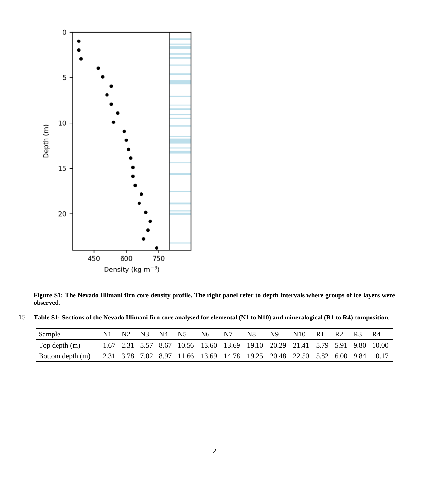

**Figure S1: The Nevado Illimani firn core density profile. The right panel refer to depth intervals where groups of ice layers were observed.**

| 15 Table S1: Sections of the Nevado Illimani firn core analysed for elemental (N1 to N10) and mineralogical (R1 to R4) composition. |  |  |  |
|-------------------------------------------------------------------------------------------------------------------------------------|--|--|--|
|                                                                                                                                     |  |  |  |

| Sample           | N1. | N2 N3 | N4 N5 | N6 | N7 | N8                                                                           | N9 | N <sub>10</sub> | - R 1 | R <sub>2</sub> | R3 | -R4 |
|------------------|-----|-------|-------|----|----|------------------------------------------------------------------------------|----|-----------------|-------|----------------|----|-----|
| Top depth (m)    |     |       |       |    |    | 1.67 2.31 5.57 8.67 10.56 13.60 13.69 19.10 20.29 21.41 5.79 5.91 9.80 10.00 |    |                 |       |                |    |     |
| Bottom depth (m) |     |       |       |    |    | 2.31 3.78 7.02 8.97 11.66 13.69 14.78 19.25 20.48 22.50 5.82 6.00 9.84 10.17 |    |                 |       |                |    |     |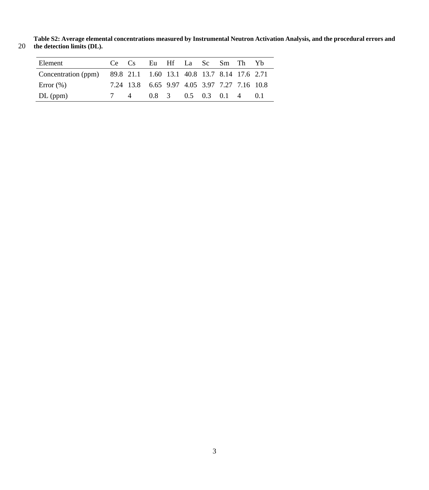**Table S2: Average elemental concentrations measured by Instrumental Neutron Activation Analysis, and the procedural errors and**  20 **the detection limits (DL).** 

| Element                                                          |    | Ce Cs                                        | Eu Hf La Sc Sm Th Yb    |  |  |  |
|------------------------------------------------------------------|----|----------------------------------------------|-------------------------|--|--|--|
| Concentration (ppm) 89.8 21.1 1.60 13.1 40.8 13.7 8.14 17.6 2.71 |    |                                              |                         |  |  |  |
| Error $(\%)$                                                     |    | 7.24 13.8 6.65 9.97 4.05 3.97 7.27 7.16 10.8 |                         |  |  |  |
| $DL$ (ppm)                                                       | 74 |                                              | 0.8 3 0.5 0.3 0.1 4 0.1 |  |  |  |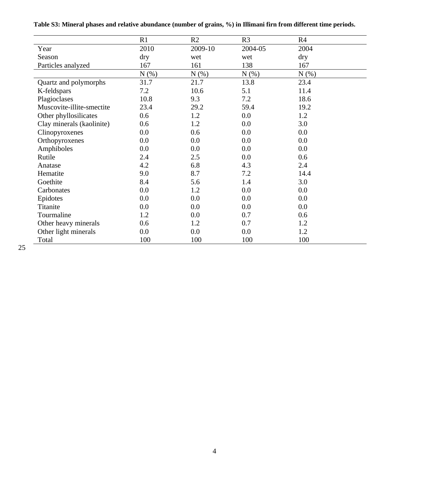| Table S3: Mineral phases and relative abundance (number of grains, %) in Illimani firn from different time periods. |  |  |  |
|---------------------------------------------------------------------------------------------------------------------|--|--|--|
|---------------------------------------------------------------------------------------------------------------------|--|--|--|

|                           | R1   | R2      | R <sub>3</sub> | R <sub>4</sub> |
|---------------------------|------|---------|----------------|----------------|
| Year                      | 2010 | 2009-10 | 2004-05        | 2004           |
| Season                    | dry  | wet     | wet            | dry            |
| Particles analyzed        | 167  | 161     | 138            | 167            |
|                           | N(%) | N(%)    | N(%)           | N(%)           |
| Quartz and polymorphs     | 31.7 | 21.7    | 13.8           | 23.4           |
| K-feldspars               | 7.2  | 10.6    | 5.1            | 11.4           |
| Plagioclases              | 10.8 | 9.3     | 7.2            | 18.6           |
| Muscovite-illite-smectite | 23.4 | 29.2    | 59.4           | 19.2           |
| Other phyllosilicates     | 0.6  | 1.2     | 0.0            | 1.2            |
| Clay minerals (kaolinite) | 0.6  | 1.2     | $0.0\,$        | 3.0            |
| Clinopyroxenes            | 0.0  | 0.6     | 0.0            | 0.0            |
| Orthopyroxenes            | 0.0  | 0.0     | 0.0            | 0.0            |
| Amphiboles                | 0.0  | 0.0     | 0.0            | 0.0            |
| Rutile                    | 2.4  | 2.5     | 0.0            | 0.6            |
| Anatase                   | 4.2  | 6.8     | 4.3            | 2.4            |
| Hematite                  | 9.0  | 8.7     | 7.2            | 14.4           |
| Goethite                  | 8.4  | 5.6     | 1.4            | 3.0            |
| Carbonates                | 0.0  | 1.2     | 0.0            | 0.0            |
| Epidotes                  | 0.0  | 0.0     | 0.0            | 0.0            |
| Titanite                  | 0.0  | 0.0     | 0.0            | 0.0            |
| Tourmaline                | 1.2  | 0.0     | 0.7            | 0.6            |
| Other heavy minerals      | 0.6  | 1.2     | 0.7            | 1.2            |
| Other light minerals      | 0.0  | 0.0     | 0.0            | 1.2            |
| Total                     | 100  | 100     | 100            | 100            |